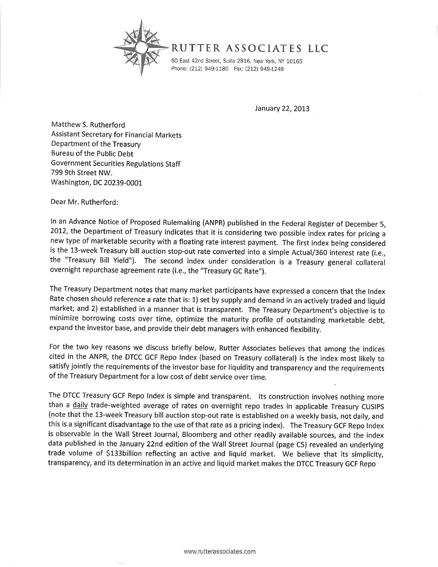

## RUTTER ASSOCIATES LLC

60 East 42nd Street, Suite 2816, New York, NY 10165 Phone: (212) 949-1180 Fax: (212) 949-1249

January 22, 2013

Matthew S. Rutherford Assistant Secretary for Financial Markets Department of the Treasury Bureau of the Public Debt Government Securities Regulations Staff 799 gth Street NW. Washington, DC 20239-0001

Dear Mr. Rutherford:

In an Advance Notice of Proposed Rulemaking (ANPR) published in the Federal Register of December 5, 2oI2, the Department of Treasury indicates that it is considering two possible index rates for pricing a new type of marketable security with a floating rate interest payment. The first index being considered is the 13-week Treasury bill auction stop-out rate converted into a simple Actual/360 interest rate (i.e., the "Treasury Bill Yield"). The second index under consideration is a Treasury general collateral overnight repurchase agreement rate (i.e., the "Treasury GC Rate").

The Treasury Department notes that many market participants have expressed a concern that the lndex Rate chosen should reference a rate that is: 1) set by supply and demand in an actively traded and liquid market; and 2) established in a manner that is transparent. The Treasury Department's objective is to minimize borrowing costs over time, optimize the maturity profile of outstanding marketable debt, expand the investor base, and provide their debt managers with enhanced flexibilitv.

For the two key reasons we discuss briefly below, Rutter Associates believes that among the indices cited in the ANPR, the DTCC GCF Repo Index (based on Treasury collateral) is the index most likely to satisfy jointly the requirements of the investor base for liquidity and transparency and the requirements of the Treasury Department for a low cost of debt service over time.

The DTCC Treasury GCF Repo Index is simple and transparent. lts construction involves nothing more than a daily trade-weighted average of rates on overnight repo trades in applicable Treasury CUSIPS (note that the 13-week Treasury bill auction stop-out rate is established on a weekly basis, not dailv, and this is a significant disadvantage to the use of that rate as a pricing index). The Treasury GCF Repo Index is observable in the Wall Street Journal, Bloomberg and other readily available sources, and the index data published in the January 22nd edition of the Wall Street Journal (page C5) revealed an underlying trade volume of \$133billion reflecting an active and liquid market. We believe that its simplicity, transparency, and its determination in an active and liquid market makes the DTCC Treasury GCF Repo